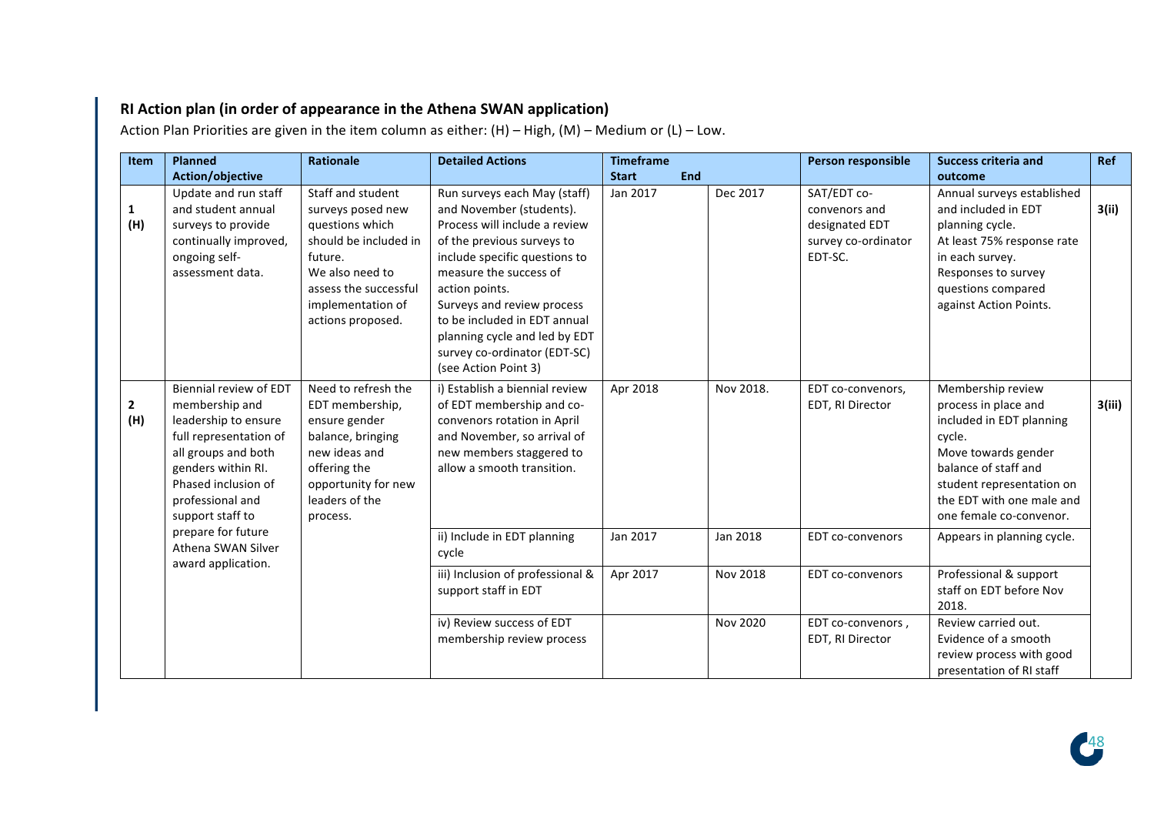## **RI Action plan (in order of appearance in the Athena SWAN application)**

**Item Planned Action/objective Rationale Detailed Actions Timeframe** Start **End Person responsible Success criteria and outcome Ref 1 (H)** Update and run staff and student annual surveys to provide continually improved, ongoing selfassessment data. Staff and student surveys posed new questions which should be included in future. We also need to assess the successful implementation of actions proposed. Run surveys each May (staff) and November (students). Process will include a review of the previous surveys to include specific questions to measure the success of action points. Surveys and review process to be included in EDT annual planning cycle and led by EDT survey co-ordinator (EDT-SC) (see Action Point 3) Jan 2017  $\vert$  Dec 2017  $\vert$  SAT/EDT coconvenors and designated **EDT** survey co-ordinator EDT-SC. Annual surveys established and included in EDT planning cycle. At least 75% response rate in each survey. Responses to survey questions compared against Action Points. **3(ii) 2 (H)** Biennial review of EDT membership and leadership to ensure full representation of all groups and both genders within RI. Phased inclusion of professional and support staff to prepare for future Athena SWAN Silver award application. Need to refresh the EDT membership. ensure gender balance, bringing new ideas and offering the opportunity for new leaders of the process. i) Establish a biennial review of EDT membership and coconvenors rotation in April and November, so arrival of new members staggered to allow a smooth transition. Apr 2018 | Nov 2018. | EDT co-convenors, EDT. RI Director Membership review process in place and included in EDT planning cycle. Move towards gender balance of staff and student representation on the FDT with one male and one female co-convenor. **3(iii)** ii) Include in EDT planning cycle Jan 2017 Jan 2018 | EDT co-convenors | Appears in planning cycle. iii) Inclusion of professional & support staff in EDT Apr 2017 Nov 2018 | EDT co-convenors | Professional & support staff on EDT before Nov 2018. iv) Review success of EDT membership review process Nov 2020  $\vert$  EDT co-convenors. EDT. RI Director Review carried out. Evidence of a smooth review process with good presentation of RI staff

Action Plan Priorities are given in the item column as either:  $(H)$  – High,  $(M)$  – Medium or  $(L)$  – Low.

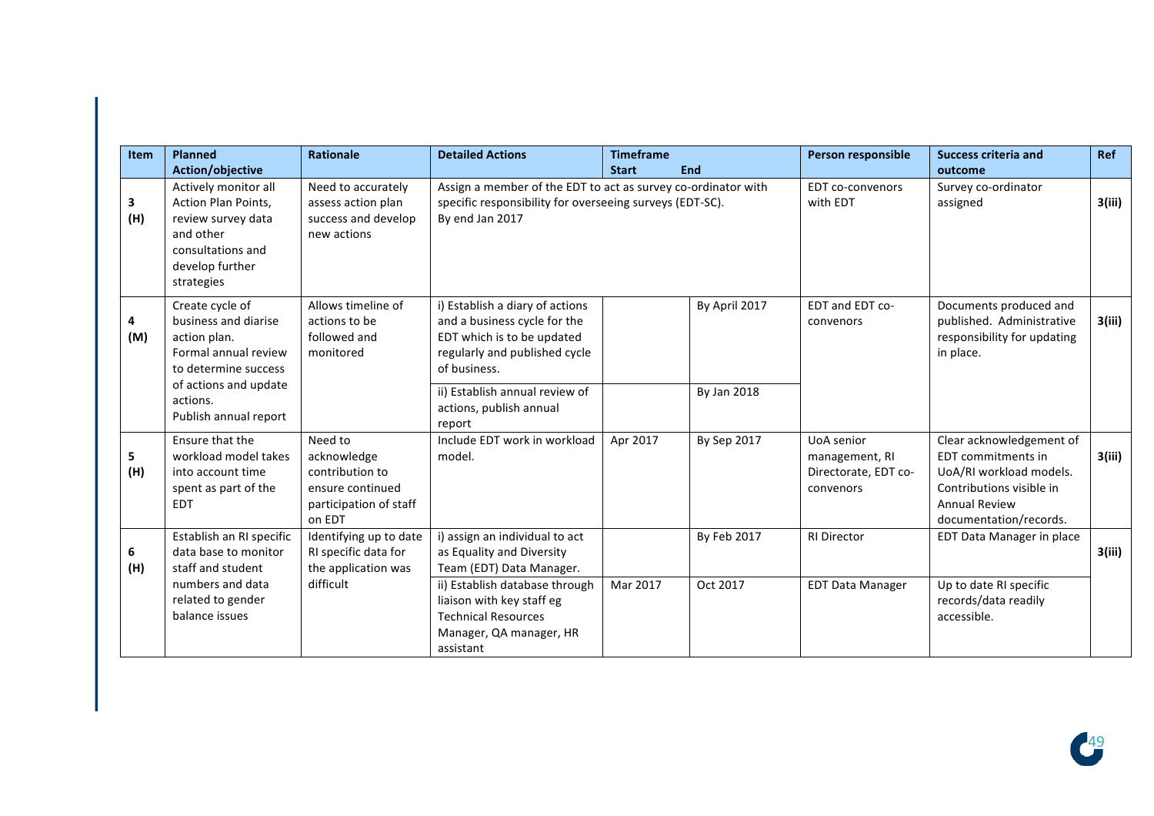| <b>Item</b> | <b>Planned</b>                                                                                                                                                        | Rationale                                                                                         | <b>Detailed Actions</b>                                                                                                                                                                                                      | <b>Timeframe</b> |                              | Person responsible                                                       | <b>Success criteria and</b>                                                                                                                             | <b>Ref</b> |
|-------------|-----------------------------------------------------------------------------------------------------------------------------------------------------------------------|---------------------------------------------------------------------------------------------------|------------------------------------------------------------------------------------------------------------------------------------------------------------------------------------------------------------------------------|------------------|------------------------------|--------------------------------------------------------------------------|---------------------------------------------------------------------------------------------------------------------------------------------------------|------------|
|             | Action/objective                                                                                                                                                      |                                                                                                   |                                                                                                                                                                                                                              | <b>Start</b>     | End                          |                                                                          | outcome                                                                                                                                                 |            |
| 3<br>(H)    | Actively monitor all<br>Action Plan Points,<br>review survey data<br>and other<br>consultations and<br>develop further<br>strategies                                  | Need to accurately<br>assess action plan<br>success and develop<br>new actions                    | Assign a member of the EDT to act as survey co-ordinator with<br>specific responsibility for overseeing surveys (EDT-SC).<br>By end Jan 2017                                                                                 |                  |                              | <b>EDT</b> co-convenors<br>with EDT                                      | Survey co-ordinator<br>assigned                                                                                                                         | 3(iii)     |
| 4<br>(M)    | Create cycle of<br>business and diarise<br>action plan.<br>Formal annual review<br>to determine success<br>of actions and update<br>actions.<br>Publish annual report | Allows timeline of<br>actions to be<br>followed and<br>monitored                                  | i) Establish a diary of actions<br>and a business cycle for the<br>EDT which is to be updated<br>regularly and published cycle<br>of business.<br>ii) Establish annual review of<br>actions, publish annual                  |                  | By April 2017<br>By Jan 2018 | EDT and EDT co-<br>convenors                                             | Documents produced and<br>published. Administrative<br>responsibility for updating<br>in place.                                                         | 3(iii)     |
| 5<br>(H)    | Ensure that the<br>workload model takes<br>into account time<br>spent as part of the<br><b>EDT</b>                                                                    | Need to<br>acknowledge<br>contribution to<br>ensure continued<br>participation of staff<br>on EDT | report<br>Include EDT work in workload<br>model.                                                                                                                                                                             | Apr 2017         | By Sep 2017                  | <b>UoA</b> senior<br>management, RI<br>Directorate, EDT co-<br>convenors | Clear acknowledgement of<br>EDT commitments in<br>UoA/RI workload models.<br>Contributions visible in<br><b>Annual Review</b><br>documentation/records. | 3(iii)     |
| 6<br>(H)    | Establish an RI specific<br>data base to monitor<br>staff and student<br>numbers and data<br>related to gender<br>balance issues                                      | Identifying up to date<br>RI specific data for<br>the application was<br>difficult                | i) assign an individual to act<br>as Equality and Diversity<br>Team (EDT) Data Manager.<br>ii) Establish database through<br>liaison with key staff eg<br><b>Technical Resources</b><br>Manager, QA manager, HR<br>assistant | Mar 2017         | By Feb 2017<br>Oct 2017      | <b>RI Director</b><br><b>EDT Data Manager</b>                            | EDT Data Manager in place<br>Up to date RI specific<br>records/data readily<br>accessible.                                                              | 3(iii)     |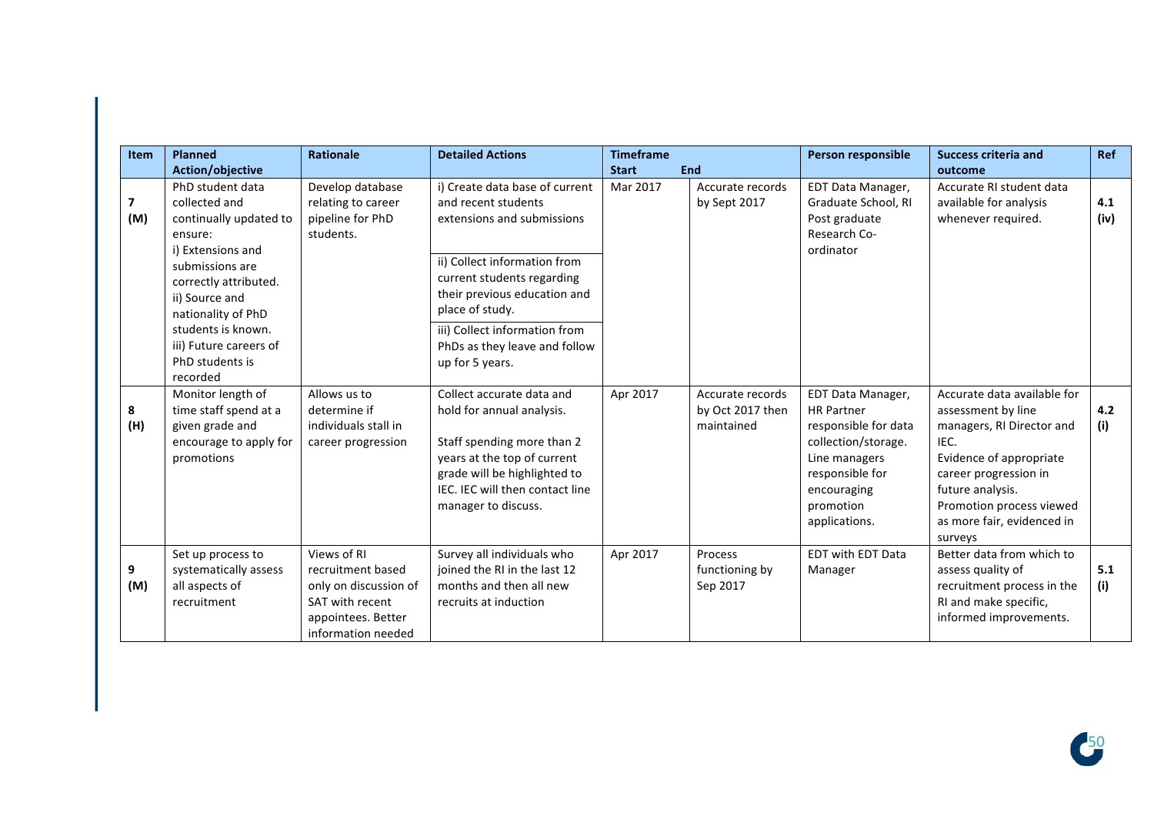| <b>Item</b> | <b>Planned</b><br>Action/objective                                                                                                                                                                                                                 | <b>Rationale</b>                                                                                                         | <b>Detailed Actions</b>                                                                                                                                                                                                                                                                   | <b>Timeframe</b><br><b>Start</b> | End                                                | Person responsible                                                                                                                                                     | <b>Success criteria and</b><br>outcome                                                                                                                                                                                              | <b>Ref</b>  |
|-------------|----------------------------------------------------------------------------------------------------------------------------------------------------------------------------------------------------------------------------------------------------|--------------------------------------------------------------------------------------------------------------------------|-------------------------------------------------------------------------------------------------------------------------------------------------------------------------------------------------------------------------------------------------------------------------------------------|----------------------------------|----------------------------------------------------|------------------------------------------------------------------------------------------------------------------------------------------------------------------------|-------------------------------------------------------------------------------------------------------------------------------------------------------------------------------------------------------------------------------------|-------------|
| 7<br>(M)    | PhD student data<br>collected and<br>continually updated to<br>ensure:<br>i) Extensions and<br>submissions are<br>correctly attributed.<br>ii) Source and<br>nationality of PhD<br>students is known.<br>iii) Future careers of<br>PhD students is | Develop database<br>relating to career<br>pipeline for PhD<br>students.                                                  | i) Create data base of current<br>and recent students<br>extensions and submissions<br>ii) Collect information from<br>current students regarding<br>their previous education and<br>place of study.<br>iii) Collect information from<br>PhDs as they leave and follow<br>up for 5 years. | Mar 2017                         | Accurate records<br>by Sept 2017                   | EDT Data Manager,<br>Graduate School, RI<br>Post graduate<br>Research Co-<br>ordinator                                                                                 | Accurate RI student data<br>available for analysis<br>whenever required.                                                                                                                                                            | 4.1<br>(iv) |
| 8<br>(H)    | recorded<br>Monitor length of<br>time staff spend at a<br>given grade and<br>encourage to apply for<br>promotions                                                                                                                                  | Allows us to<br>determine if<br>individuals stall in<br>career progression                                               | Collect accurate data and<br>hold for annual analysis.<br>Staff spending more than 2<br>years at the top of current<br>grade will be highlighted to<br>IEC. IEC will then contact line<br>manager to discuss.                                                                             | Apr 2017                         | Accurate records<br>by Oct 2017 then<br>maintained | EDT Data Manager,<br><b>HR Partner</b><br>responsible for data<br>collection/storage.<br>Line managers<br>responsible for<br>encouraging<br>promotion<br>applications. | Accurate data available for<br>assessment by line<br>managers, RI Director and<br>IEC.<br>Evidence of appropriate<br>career progression in<br>future analysis.<br>Promotion process viewed<br>as more fair, evidenced in<br>surveys | 4.2<br>(i)  |
| 9<br>(M)    | Set up process to<br>systematically assess<br>all aspects of<br>recruitment                                                                                                                                                                        | Views of RI<br>recruitment based<br>only on discussion of<br>SAT with recent<br>appointees. Better<br>information needed | Survey all individuals who<br>joined the RI in the last 12<br>months and then all new<br>recruits at induction                                                                                                                                                                            | Apr 2017                         | Process<br>functioning by<br>Sep 2017              | EDT with EDT Data<br>Manager                                                                                                                                           | Better data from which to<br>assess quality of<br>recruitment process in the<br>RI and make specific,<br>informed improvements.                                                                                                     | 5.1<br>(i)  |

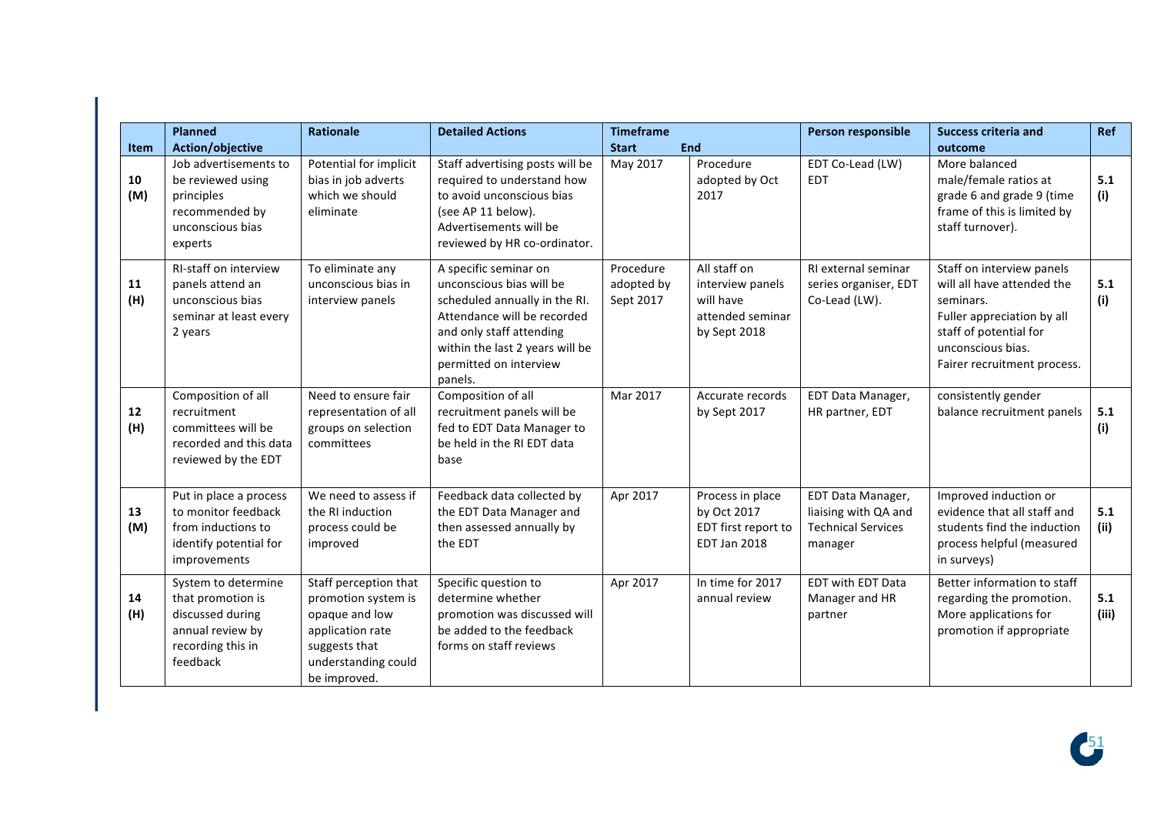|             | <b>Planned</b>                                                                                                    | <b>Rationale</b>                                                                                                                           | <b>Detailed Actions</b>                                                                                                                                                                                               | <b>Timeframe</b>                     |                                                                                   | Person responsible                                                                | <b>Success criteria and</b>                                                                                                                                                      | Ref          |
|-------------|-------------------------------------------------------------------------------------------------------------------|--------------------------------------------------------------------------------------------------------------------------------------------|-----------------------------------------------------------------------------------------------------------------------------------------------------------------------------------------------------------------------|--------------------------------------|-----------------------------------------------------------------------------------|-----------------------------------------------------------------------------------|----------------------------------------------------------------------------------------------------------------------------------------------------------------------------------|--------------|
| <b>Item</b> | Action/objective                                                                                                  |                                                                                                                                            |                                                                                                                                                                                                                       | <b>Start</b>                         | End                                                                               |                                                                                   | outcome                                                                                                                                                                          |              |
| 10<br>(M)   | Job advertisements to<br>be reviewed using<br>principles<br>recommended by<br>unconscious bias<br>experts         | Potential for implicit<br>bias in job adverts<br>which we should<br>eliminate                                                              | Staff advertising posts will be<br>required to understand how<br>to avoid unconscious bias<br>(see AP 11 below).<br>Advertisements will be<br>reviewed by HR co-ordinator.                                            | May 2017                             | Procedure<br>adopted by Oct<br>2017                                               | EDT Co-Lead (LW)<br><b>EDT</b>                                                    | More balanced<br>male/female ratios at<br>grade 6 and grade 9 (time<br>frame of this is limited by<br>staff turnover).                                                           | 5.1<br>(i)   |
| 11<br>(H)   | RI-staff on interview<br>panels attend an<br>unconscious bias<br>seminar at least every<br>2 years                | To eliminate any<br>unconscious bias in<br>interview panels                                                                                | A specific seminar on<br>unconscious bias will be<br>scheduled annually in the RI.<br>Attendance will be recorded<br>and only staff attending<br>within the last 2 years will be<br>permitted on interview<br>panels. | Procedure<br>adopted by<br>Sept 2017 | All staff on<br>interview panels<br>will have<br>attended seminar<br>by Sept 2018 | RI external seminar<br>series organiser, EDT<br>Co-Lead (LW).                     | Staff on interview panels<br>will all have attended the<br>seminars.<br>Fuller appreciation by all<br>staff of potential for<br>unconscious bias.<br>Fairer recruitment process. | 5.1<br>(i)   |
| $12$<br>(H) | Composition of all<br>recruitment<br>committees will be<br>recorded and this data<br>reviewed by the EDT          | Need to ensure fair<br>representation of all<br>groups on selection<br>committees                                                          | Composition of all<br>recruitment panels will be<br>fed to EDT Data Manager to<br>be held in the RI EDT data<br>base                                                                                                  | Mar 2017                             | Accurate records<br>by Sept 2017                                                  | EDT Data Manager,<br>HR partner, EDT                                              | consistently gender<br>balance recruitment panels                                                                                                                                | 5.1<br>(i)   |
| 13<br>(M)   | Put in place a process<br>to monitor feedback<br>from inductions to<br>identify potential for<br>improvements     | We need to assess if<br>the RI induction<br>process could be<br>improved                                                                   | Feedback data collected by<br>the EDT Data Manager and<br>then assessed annually by<br>the EDT                                                                                                                        | Apr 2017                             | Process in place<br>by Oct 2017<br>EDT first report to<br><b>EDT Jan 2018</b>     | EDT Data Manager,<br>liaising with QA and<br><b>Technical Services</b><br>manager | Improved induction or<br>evidence that all staff and<br>students find the induction<br>process helpful (measured<br>in surveys)                                                  | 5.1<br>(ii)  |
| 14<br>(H)   | System to determine<br>that promotion is<br>discussed during<br>annual review by<br>recording this in<br>feedback | Staff perception that<br>promotion system is<br>opaque and low<br>application rate<br>suggests that<br>understanding could<br>be improved. | Specific question to<br>determine whether<br>promotion was discussed will<br>be added to the feedback<br>forms on staff reviews                                                                                       | Apr 2017                             | In time for 2017<br>annual review                                                 | EDT with EDT Data<br>Manager and HR<br>partner                                    | Better information to staff<br>regarding the promotion.<br>More applications for<br>promotion if appropriate                                                                     | 5.1<br>(iii) |

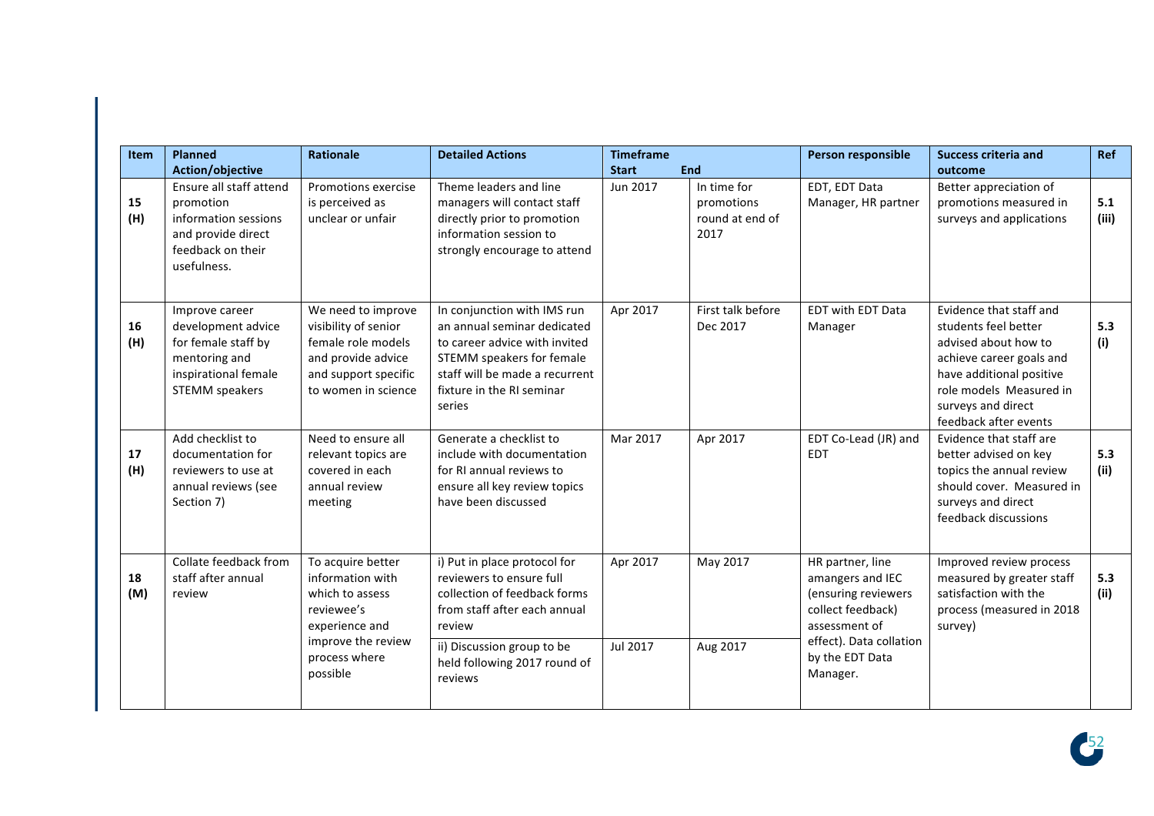| Item      | <b>Planned</b><br>Action/objective                                                                                            | <b>Rationale</b>                                                                                                                            | <b>Detailed Actions</b>                                                                                                                                                                                     | <b>Timeframe</b><br><b>Start</b> | End                                                  | Person responsible                                                                                                                                          | <b>Success criteria and</b><br>outcome                                                                                                                                                                    | Ref          |
|-----------|-------------------------------------------------------------------------------------------------------------------------------|---------------------------------------------------------------------------------------------------------------------------------------------|-------------------------------------------------------------------------------------------------------------------------------------------------------------------------------------------------------------|----------------------------------|------------------------------------------------------|-------------------------------------------------------------------------------------------------------------------------------------------------------------|-----------------------------------------------------------------------------------------------------------------------------------------------------------------------------------------------------------|--------------|
| 15<br>(H) | Ensure all staff attend<br>promotion<br>information sessions<br>and provide direct<br>feedback on their<br>usefulness.        | Promotions exercise<br>is perceived as<br>unclear or unfair                                                                                 | Theme leaders and line<br>managers will contact staff<br>directly prior to promotion<br>information session to<br>strongly encourage to attend                                                              | Jun 2017                         | In time for<br>promotions<br>round at end of<br>2017 | EDT, EDT Data<br>Manager, HR partner                                                                                                                        | Better appreciation of<br>promotions measured in<br>surveys and applications                                                                                                                              | 5.1<br>(iii) |
| 16<br>(H) | Improve career<br>development advice<br>for female staff by<br>mentoring and<br>inspirational female<br><b>STEMM</b> speakers | We need to improve<br>visibility of senior<br>female role models<br>and provide advice<br>and support specific<br>to women in science       | In conjunction with IMS run<br>an annual seminar dedicated<br>to career advice with invited<br>STEMM speakers for female<br>staff will be made a recurrent<br>fixture in the RI seminar<br>series           | Apr 2017                         | First talk before<br>Dec 2017                        | <b>EDT with EDT Data</b><br>Manager                                                                                                                         | Evidence that staff and<br>students feel better<br>advised about how to<br>achieve career goals and<br>have additional positive<br>role models Measured in<br>surveys and direct<br>feedback after events | 5.3<br>(i)   |
| 17<br>(H) | Add checklist to<br>documentation for<br>reviewers to use at<br>annual reviews (see<br>Section 7)                             | Need to ensure all<br>relevant topics are<br>covered in each<br>annual review<br>meeting                                                    | Generate a checklist to<br>include with documentation<br>for RI annual reviews to<br>ensure all key review topics<br>have been discussed                                                                    | Mar 2017                         | Apr 2017                                             | EDT Co-Lead (JR) and<br><b>EDT</b>                                                                                                                          | Evidence that staff are<br>better advised on key<br>topics the annual review<br>should cover. Measured in<br>surveys and direct<br>feedback discussions                                                   | 5.3<br>(ii)  |
| 18<br>(M) | Collate feedback from<br>staff after annual<br>review                                                                         | To acquire better<br>information with<br>which to assess<br>reviewee's<br>experience and<br>improve the review<br>process where<br>possible | i) Put in place protocol for<br>reviewers to ensure full<br>collection of feedback forms<br>from staff after each annual<br>review<br>ii) Discussion group to be<br>held following 2017 round of<br>reviews | Apr 2017<br>Jul 2017             | May 2017<br>Aug 2017                                 | HR partner, line<br>amangers and IEC<br>(ensuring reviewers<br>collect feedback)<br>assessment of<br>effect). Data collation<br>by the EDT Data<br>Manager. | Improved review process<br>measured by greater staff<br>satisfaction with the<br>process (measured in 2018<br>survey)                                                                                     | 5.3<br>(ii)  |

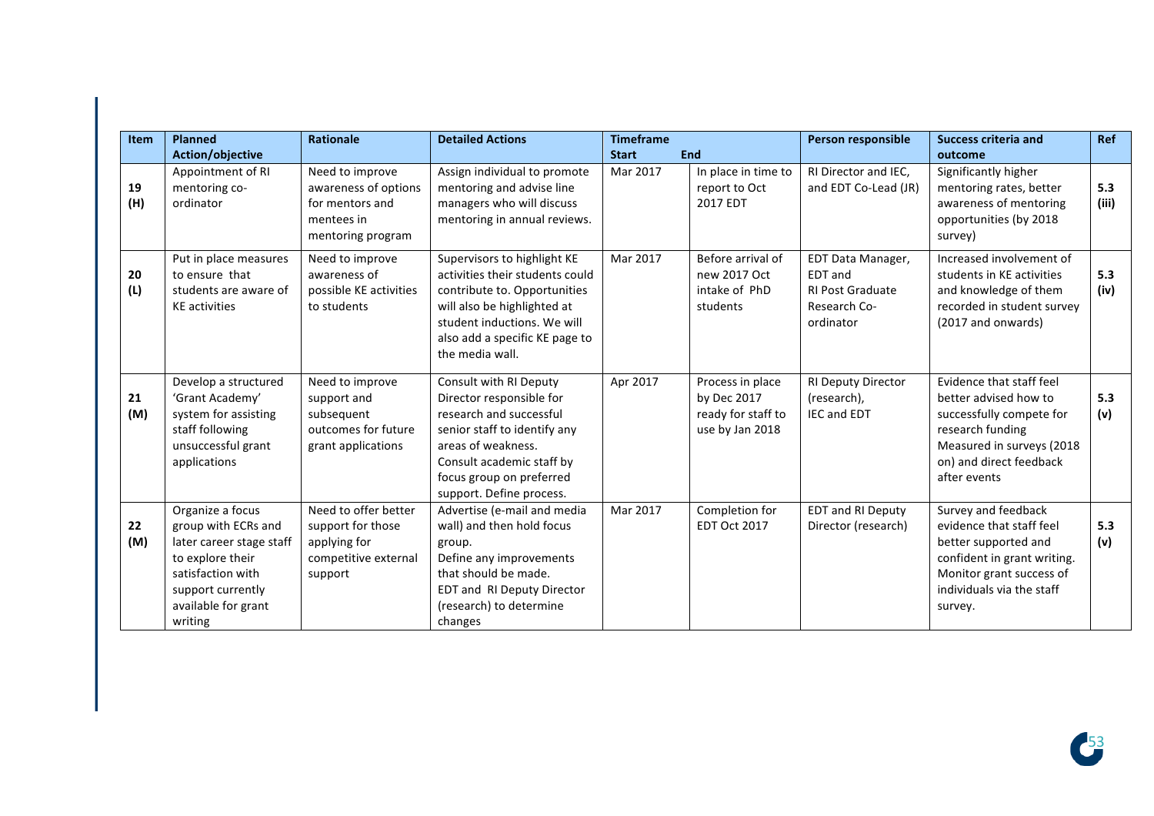| <b>Item</b> | <b>Planned</b>                                                                                                                                                      | <b>Rationale</b>                                                                              | <b>Detailed Actions</b>                                                                                                                                                                                                  | <b>Timeframe</b> |                                                                          | Person responsible                                                                   | <b>Success criteria and</b>                                                                                                                                                | <b>Ref</b>   |
|-------------|---------------------------------------------------------------------------------------------------------------------------------------------------------------------|-----------------------------------------------------------------------------------------------|--------------------------------------------------------------------------------------------------------------------------------------------------------------------------------------------------------------------------|------------------|--------------------------------------------------------------------------|--------------------------------------------------------------------------------------|----------------------------------------------------------------------------------------------------------------------------------------------------------------------------|--------------|
|             | Action/objective                                                                                                                                                    |                                                                                               |                                                                                                                                                                                                                          | <b>Start</b>     | <b>End</b>                                                               |                                                                                      | outcome                                                                                                                                                                    |              |
| 19<br>(H)   | Appointment of RI<br>mentoring co-<br>ordinator                                                                                                                     | Need to improve<br>awareness of options<br>for mentors and<br>mentees in<br>mentoring program | Assign individual to promote<br>mentoring and advise line<br>managers who will discuss<br>mentoring in annual reviews.                                                                                                   | Mar 2017         | In place in time to<br>report to Oct<br>2017 EDT                         | RI Director and IEC,<br>and EDT Co-Lead (JR)                                         | Significantly higher<br>mentoring rates, better<br>awareness of mentoring<br>opportunities (by 2018<br>survey)                                                             | 5.3<br>(iii) |
| 20<br>(L)   | Put in place measures<br>to ensure that<br>students are aware of<br><b>KE</b> activities                                                                            | Need to improve<br>awareness of<br>possible KE activities<br>to students                      | Supervisors to highlight KE<br>activities their students could<br>contribute to. Opportunities<br>will also be highlighted at<br>student inductions. We will<br>also add a specific KE page to<br>the media wall.        | Mar 2017         | Before arrival of<br>new 2017 Oct<br>intake of PhD<br>students           | EDT Data Manager,<br>EDT and<br><b>RI Post Graduate</b><br>Research Co-<br>ordinator | Increased involvement of<br>students in KE activities<br>and knowledge of them<br>recorded in student survey<br>(2017 and onwards)                                         | 5.3<br>(iv)  |
| 21<br>(M)   | Develop a structured<br>'Grant Academy'<br>system for assisting<br>staff following<br>unsuccessful grant<br>applications                                            | Need to improve<br>support and<br>subsequent<br>outcomes for future<br>grant applications     | Consult with RI Deputy<br>Director responsible for<br>research and successful<br>senior staff to identify any<br>areas of weakness.<br>Consult academic staff by<br>focus group on preferred<br>support. Define process. | Apr 2017         | Process in place<br>by Dec 2017<br>ready for staff to<br>use by Jan 2018 | RI Deputy Director<br>(research),<br><b>IEC and EDT</b>                              | Evidence that staff feel<br>better advised how to<br>successfully compete for<br>research funding<br>Measured in surveys (2018<br>on) and direct feedback<br>after events  | 5.3<br>(v)   |
| 22<br>(M)   | Organize a focus<br>group with ECRs and<br>later career stage staff<br>to explore their<br>satisfaction with<br>support currently<br>available for grant<br>writing | Need to offer better<br>support for those<br>applying for<br>competitive external<br>support  | Advertise (e-mail and media<br>wall) and then hold focus<br>group.<br>Define any improvements<br>that should be made.<br>EDT and RI Deputy Director<br>(research) to determine<br>changes                                | Mar 2017         | Completion for<br><b>EDT Oct 2017</b>                                    | <b>EDT and RI Deputy</b><br>Director (research)                                      | Survey and feedback<br>evidence that staff feel<br>better supported and<br>confident in grant writing.<br>Monitor grant success of<br>individuals via the staff<br>survey. | 5.3<br>(v)   |

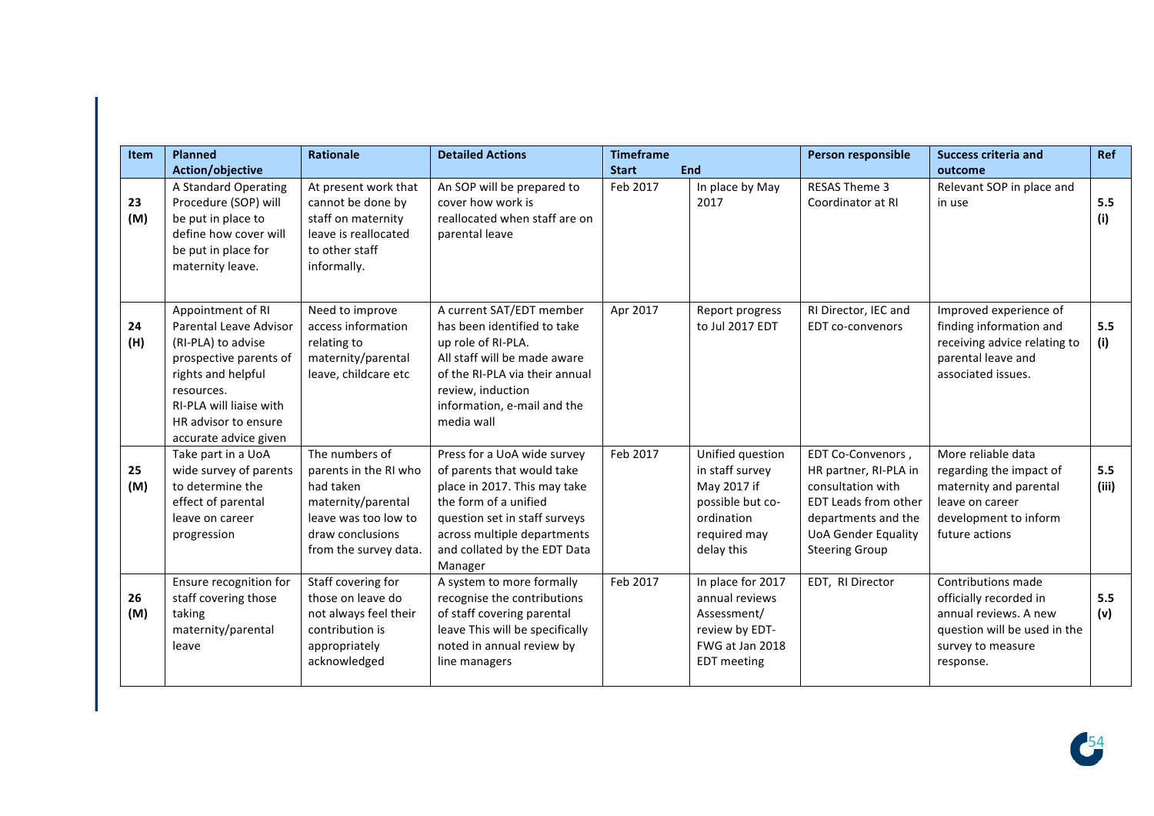| ltem      | <b>Planned</b>                                                                                                                                                                                              | <b>Rationale</b>                                                                                                                                | <b>Detailed Actions</b>                                                                                                                                                                                                       | <b>Timeframe</b> |                                                                                                                    | Person responsible                                                                                                                                                    | <b>Success criteria and</b>                                                                                                             | <b>Ref</b>   |
|-----------|-------------------------------------------------------------------------------------------------------------------------------------------------------------------------------------------------------------|-------------------------------------------------------------------------------------------------------------------------------------------------|-------------------------------------------------------------------------------------------------------------------------------------------------------------------------------------------------------------------------------|------------------|--------------------------------------------------------------------------------------------------------------------|-----------------------------------------------------------------------------------------------------------------------------------------------------------------------|-----------------------------------------------------------------------------------------------------------------------------------------|--------------|
|           | Action/objective                                                                                                                                                                                            |                                                                                                                                                 |                                                                                                                                                                                                                               | <b>Start</b>     | End                                                                                                                |                                                                                                                                                                       | outcome                                                                                                                                 |              |
| 23<br>(M) | A Standard Operating<br>Procedure (SOP) will<br>be put in place to<br>define how cover will<br>be put in place for<br>maternity leave.                                                                      | At present work that<br>cannot be done by<br>staff on maternity<br>leave is reallocated<br>to other staff<br>informally.                        | An SOP will be prepared to<br>cover how work is<br>reallocated when staff are on<br>parental leave                                                                                                                            | Feb 2017         | In place by May<br>2017                                                                                            | <b>RESAS Theme 3</b><br>Coordinator at RI                                                                                                                             | Relevant SOP in place and<br>in use                                                                                                     | 5.5<br>(i)   |
| 24<br>(H) | Appointment of RI<br>Parental Leave Advisor<br>(RI-PLA) to advise<br>prospective parents of<br>rights and helpful<br>resources.<br>RI-PLA will liaise with<br>HR advisor to ensure<br>accurate advice given | Need to improve<br>access information<br>relating to<br>maternity/parental<br>leave, childcare etc                                              | A current SAT/EDT member<br>has been identified to take<br>up role of RI-PLA.<br>All staff will be made aware<br>of the RI-PLA via their annual<br>review, induction<br>information, e-mail and the<br>media wall             | Apr 2017         | Report progress<br>to Jul 2017 EDT                                                                                 | RI Director, IEC and<br><b>EDT</b> co-convenors                                                                                                                       | Improved experience of<br>finding information and<br>receiving advice relating to<br>parental leave and<br>associated issues.           | 5.5<br>(i)   |
| 25<br>(M) | Take part in a UoA<br>wide survey of parents<br>to determine the<br>effect of parental<br>leave on career<br>progression                                                                                    | The numbers of<br>parents in the RI who<br>had taken<br>maternity/parental<br>leave was too low to<br>draw conclusions<br>from the survey data. | Press for a UoA wide survey<br>of parents that would take<br>place in 2017. This may take<br>the form of a unified<br>question set in staff surveys<br>across multiple departments<br>and collated by the EDT Data<br>Manager | Feb 2017         | Unified question<br>in staff survey<br>May 2017 if<br>possible but co-<br>ordination<br>required may<br>delay this | EDT Co-Convenors,<br>HR partner, RI-PLA in<br>consultation with<br>EDT Leads from other<br>departments and the<br><b>UoA Gender Equality</b><br><b>Steering Group</b> | More reliable data<br>regarding the impact of<br>maternity and parental<br>leave on career<br>development to inform<br>future actions   | 5.5<br>(iii) |
| 26<br>(M) | Ensure recognition for<br>staff covering those<br>taking<br>maternity/parental<br>leave                                                                                                                     | Staff covering for<br>those on leave do<br>not always feel their<br>contribution is<br>appropriately<br>acknowledged                            | A system to more formally<br>recognise the contributions<br>of staff covering parental<br>leave This will be specifically<br>noted in annual review by<br>line managers                                                       | Feb 2017         | In place for 2017<br>annual reviews<br>Assessment/<br>review by EDT-<br>FWG at Jan 2018<br><b>EDT</b> meeting      | EDT, RI Director                                                                                                                                                      | Contributions made<br>officially recorded in<br>annual reviews. A new<br>question will be used in the<br>survey to measure<br>response. | 5.5<br>(v)   |

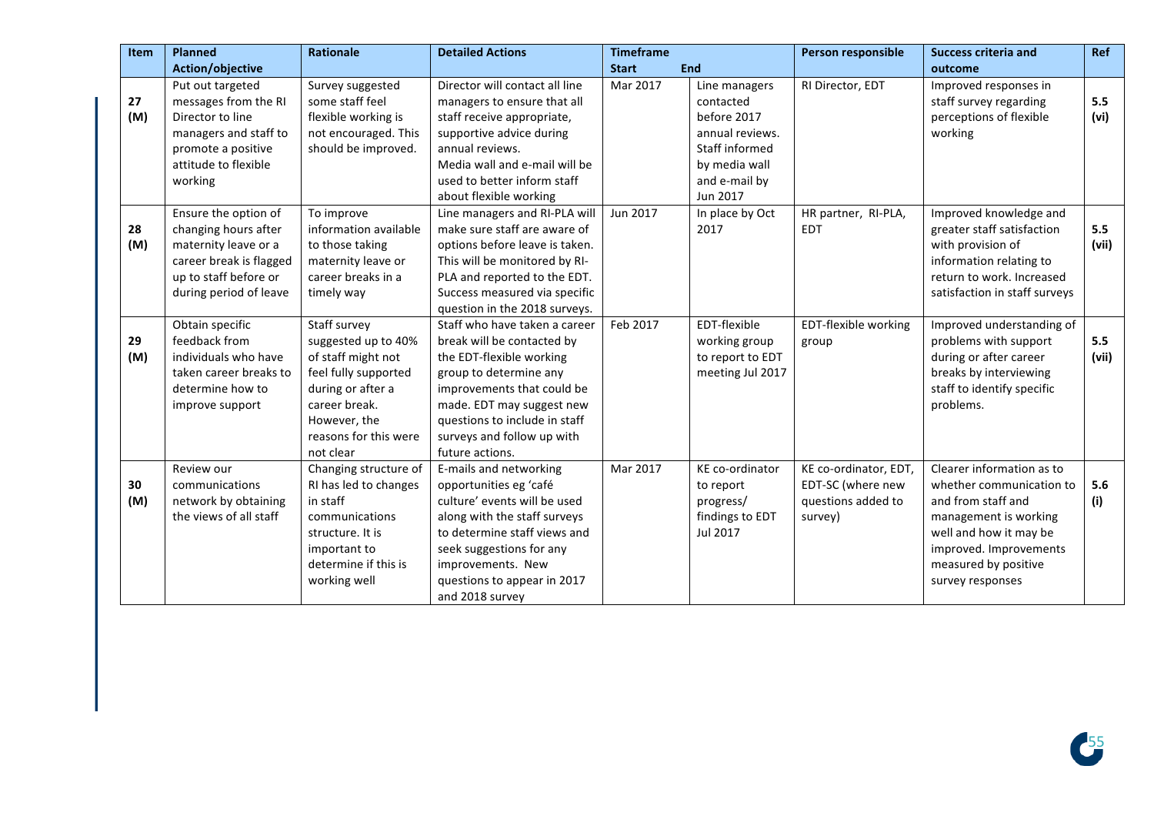| <b>Item</b> | <b>Planned</b>          | Rationale             | <b>Detailed Actions</b>        | <b>Timeframe</b> |                  | Person responsible    | <b>Success criteria and</b>   | Ref   |
|-------------|-------------------------|-----------------------|--------------------------------|------------------|------------------|-----------------------|-------------------------------|-------|
|             | Action/objective        |                       |                                | <b>Start</b>     | <b>End</b>       |                       | outcome                       |       |
|             | Put out targeted        | Survey suggested      | Director will contact all line | Mar 2017         | Line managers    | RI Director, EDT      | Improved responses in         |       |
| 27          | messages from the RI    | some staff feel       | managers to ensure that all    |                  | contacted        |                       | staff survey regarding        | 5.5   |
| (M)         | Director to line        | flexible working is   | staff receive appropriate,     |                  | before 2017      |                       | perceptions of flexible       | (vi)  |
|             | managers and staff to   | not encouraged. This  | supportive advice during       |                  | annual reviews.  |                       | working                       |       |
|             | promote a positive      | should be improved.   | annual reviews.                |                  | Staff informed   |                       |                               |       |
|             | attitude to flexible    |                       | Media wall and e-mail will be  |                  | by media wall    |                       |                               |       |
|             | working                 |                       | used to better inform staff    |                  | and e-mail by    |                       |                               |       |
|             |                         |                       | about flexible working         |                  | Jun 2017         |                       |                               |       |
|             | Ensure the option of    | To improve            | Line managers and RI-PLA will  | Jun 2017         | In place by Oct  | HR partner, RI-PLA,   | Improved knowledge and        |       |
| 28          | changing hours after    | information available | make sure staff are aware of   |                  | 2017             | <b>EDT</b>            | greater staff satisfaction    | 5.5   |
| (M)         | maternity leave or a    | to those taking       | options before leave is taken. |                  |                  |                       | with provision of             | (vii) |
|             | career break is flagged | maternity leave or    | This will be monitored by RI-  |                  |                  |                       | information relating to       |       |
|             | up to staff before or   | career breaks in a    | PLA and reported to the EDT.   |                  |                  |                       | return to work. Increased     |       |
|             | during period of leave  | timely way            | Success measured via specific  |                  |                  |                       | satisfaction in staff surveys |       |
|             |                         |                       | question in the 2018 surveys.  |                  |                  |                       |                               |       |
|             | Obtain specific         | Staff survey          | Staff who have taken a career  | Feb 2017         | EDT-flexible     | EDT-flexible working  | Improved understanding of     |       |
| 29          | feedback from           | suggested up to 40%   | break will be contacted by     |                  | working group    | group                 | problems with support         | 5.5   |
| (M)         | individuals who have    | of staff might not    | the EDT-flexible working       |                  | to report to EDT |                       | during or after career        | (vii) |
|             | taken career breaks to  | feel fully supported  | group to determine any         |                  | meeting Jul 2017 |                       | breaks by interviewing        |       |
|             | determine how to        | during or after a     | improvements that could be     |                  |                  |                       | staff to identify specific    |       |
|             | improve support         | career break.         | made. EDT may suggest new      |                  |                  |                       | problems.                     |       |
|             |                         | However, the          | questions to include in staff  |                  |                  |                       |                               |       |
|             |                         | reasons for this were | surveys and follow up with     |                  |                  |                       |                               |       |
|             |                         | not clear             | future actions.                |                  |                  |                       |                               |       |
|             | Review our              | Changing structure of | E-mails and networking         | Mar 2017         | KE co-ordinator  | KE co-ordinator, EDT, | Clearer information as to     |       |
| 30          | communications          | RI has led to changes | opportunities eg 'café         |                  | to report        | EDT-SC (where new     | whether communication to      | 5.6   |
| (M)         | network by obtaining    | in staff              | culture' events will be used   |                  | progress/        | questions added to    | and from staff and            | (i)   |
|             | the views of all staff  | communications        | along with the staff surveys   |                  | findings to EDT  | survey)               | management is working         |       |
|             |                         | structure. It is      | to determine staff views and   |                  | Jul 2017         |                       | well and how it may be        |       |
|             |                         | important to          | seek suggestions for any       |                  |                  |                       | improved. Improvements        |       |
|             |                         | determine if this is  | improvements. New              |                  |                  |                       | measured by positive          |       |
|             |                         | working well          | questions to appear in 2017    |                  |                  |                       | survey responses              |       |
|             |                         |                       | and 2018 survey                |                  |                  |                       |                               |       |

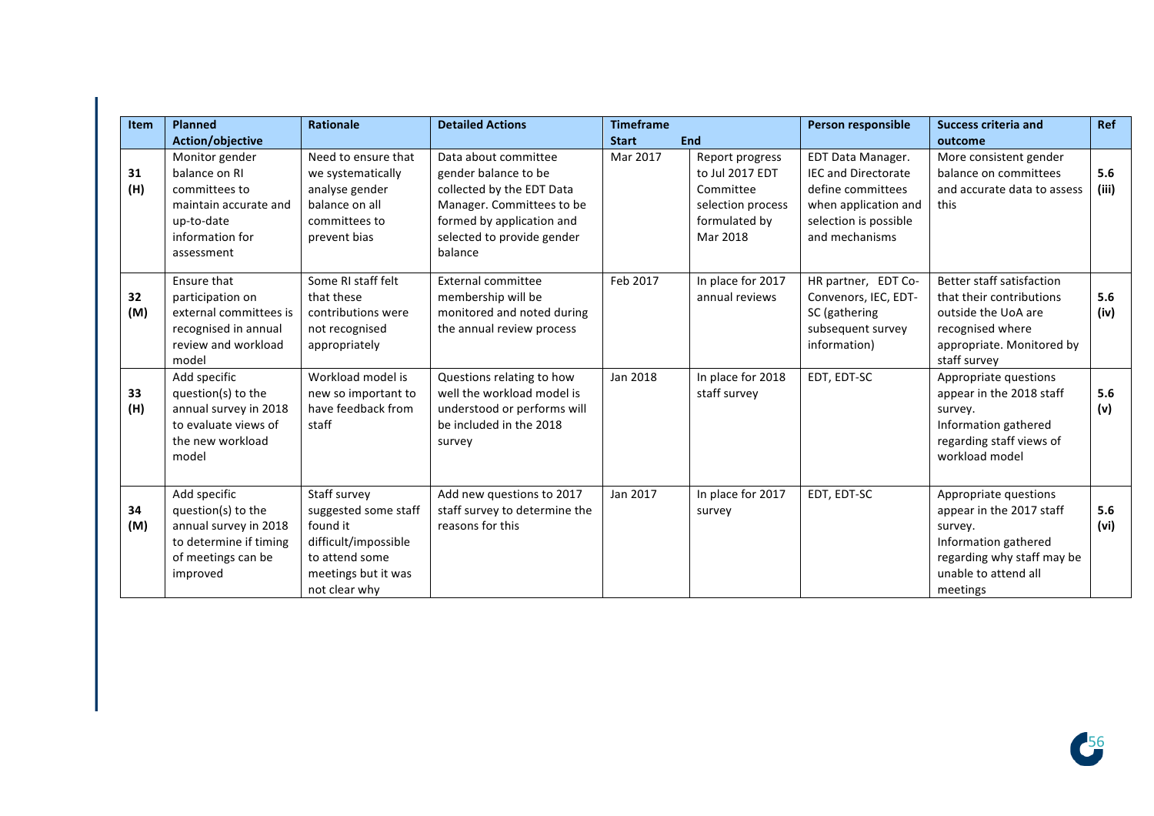| <b>Item</b> | <b>Planned</b>                                                                                                           | <b>Rationale</b>                                                                                                                   | <b>Detailed Actions</b>                                                                                                                                                      | <b>Timeframe</b> |                                                                                                   | Person responsible                                                                                                                             | <b>Success criteria and</b>                                                                                                                            | Ref          |
|-------------|--------------------------------------------------------------------------------------------------------------------------|------------------------------------------------------------------------------------------------------------------------------------|------------------------------------------------------------------------------------------------------------------------------------------------------------------------------|------------------|---------------------------------------------------------------------------------------------------|------------------------------------------------------------------------------------------------------------------------------------------------|--------------------------------------------------------------------------------------------------------------------------------------------------------|--------------|
|             | <b>Action/objective</b>                                                                                                  |                                                                                                                                    |                                                                                                                                                                              | <b>Start</b>     | <b>End</b>                                                                                        |                                                                                                                                                | outcome                                                                                                                                                |              |
| 31<br>(H)   | Monitor gender<br>balance on RI<br>committees to<br>maintain accurate and<br>up-to-date<br>information for<br>assessment | Need to ensure that<br>we systematically<br>analyse gender<br>balance on all<br>committees to<br>prevent bias                      | Data about committee<br>gender balance to be<br>collected by the EDT Data<br>Manager. Committees to be<br>formed by application and<br>selected to provide gender<br>balance | Mar 2017         | Report progress<br>to Jul 2017 EDT<br>Committee<br>selection process<br>formulated by<br>Mar 2018 | <b>EDT Data Manager.</b><br><b>IEC and Directorate</b><br>define committees<br>when application and<br>selection is possible<br>and mechanisms | More consistent gender<br>balance on committees<br>and accurate data to assess<br>this                                                                 | 5.6<br>(iii) |
| 32<br>(M)   | Ensure that<br>participation on<br>external committees is<br>recognised in annual<br>review and workload<br>model        | Some RI staff felt<br>that these<br>contributions were<br>not recognised<br>appropriately                                          | External committee<br>membership will be<br>monitored and noted during<br>the annual review process                                                                          | Feb 2017         | In place for 2017<br>annual reviews                                                               | HR partner, EDT Co-<br>Convenors, IEC, EDT-<br>SC (gathering<br>subsequent survey<br>information)                                              | Better staff satisfaction<br>that their contributions<br>outside the UoA are<br>recognised where<br>appropriate. Monitored by<br>staff survey          | 5.6<br>(iv)  |
| 33<br>(H)   | Add specific<br>question(s) to the<br>annual survey in 2018<br>to evaluate views of<br>the new workload<br>model         | Workload model is<br>new so important to<br>have feedback from<br>staff                                                            | Questions relating to how<br>well the workload model is<br>understood or performs will<br>be included in the 2018<br>survey                                                  | Jan 2018         | In place for 2018<br>staff survey                                                                 | EDT, EDT-SC                                                                                                                                    | Appropriate questions<br>appear in the 2018 staff<br>survey.<br>Information gathered<br>regarding staff views of<br>workload model                     | 5.6<br>(v)   |
| 34<br>(M)   | Add specific<br>question(s) to the<br>annual survey in 2018<br>to determine if timing<br>of meetings can be<br>improved  | Staff survey<br>suggested some staff<br>found it<br>difficult/impossible<br>to attend some<br>meetings but it was<br>not clear why | Add new questions to 2017<br>staff survey to determine the<br>reasons for this                                                                                               | Jan 2017         | In place for 2017<br>survey                                                                       | EDT, EDT-SC                                                                                                                                    | Appropriate questions<br>appear in the 2017 staff<br>survey.<br>Information gathered<br>regarding why staff may be<br>unable to attend all<br>meetings | 5.6<br>(vi)  |